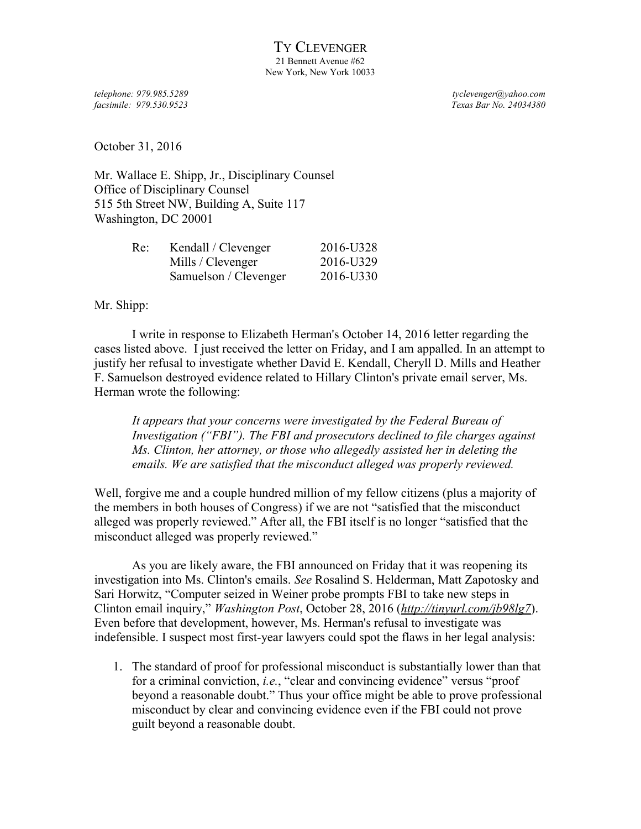*facsimile: 979.530.9523 Texas Bar No. 24034380*

*telephone: 979.985.5289 tyclevenger@yahoo.com*

October 31, 2016

Mr. Wallace E. Shipp, Jr., Disciplinary Counsel Office of Disciplinary Counsel 515 5th Street NW, Building A, Suite 117 Washington, DC 20001

| Re: | Kendall / Clevenger   | 2016-U328 |
|-----|-----------------------|-----------|
|     | Mills / Clevenger     | 2016-U329 |
|     | Samuelson / Clevenger | 2016-U330 |

Mr. Shipp:

I write in response to Elizabeth Herman's October 14, 2016 letter regarding the cases listed above. I just received the letter on Friday, and I am appalled. In an attempt to justify her refusal to investigate whether David E. Kendall, Cheryll D. Mills and Heather F. Samuelson destroyed evidence related to Hillary Clinton's private email server, Ms. Herman wrote the following:

*It appears that your concerns were investigated by the Federal Bureau of Investigation ("FBI"). The FBI and prosecutors declined to file charges against Ms. Clinton, her attorney, or those who allegedly assisted her in deleting the emails. We are satisfied that the misconduct alleged was properly reviewed.*

Well, forgive me and a couple hundred million of my fellow citizens (plus a majority of the members in both houses of Congress) if we are not "satisfied that the misconduct alleged was properly reviewed." After all, the FBI itself is no longer "satisfied that the misconduct alleged was properly reviewed."

As you are likely aware, the FBI announced on Friday that it was reopening its investigation into Ms. Clinton's emails. *See* Rosalind S. Helderman, Matt Zapotosky and Sari Horwitz, "Computer seized in Weiner probe prompts FBI to take new steps in Clinton email inquiry," *Washington Post*, October 28, 2016 (*<http://tinyurl.com/jb98lg7>*). Even before that development, however, Ms. Herman's refusal to investigate was indefensible. I suspect most first-year lawyers could spot the flaws in her legal analysis:

1. The standard of proof for professional misconduct is substantially lower than that for a criminal conviction, *i.e.*, "clear and convincing evidence" versus "proof beyond a reasonable doubt." Thus your office might be able to prove professional misconduct by clear and convincing evidence even if the FBI could not prove guilt beyond a reasonable doubt.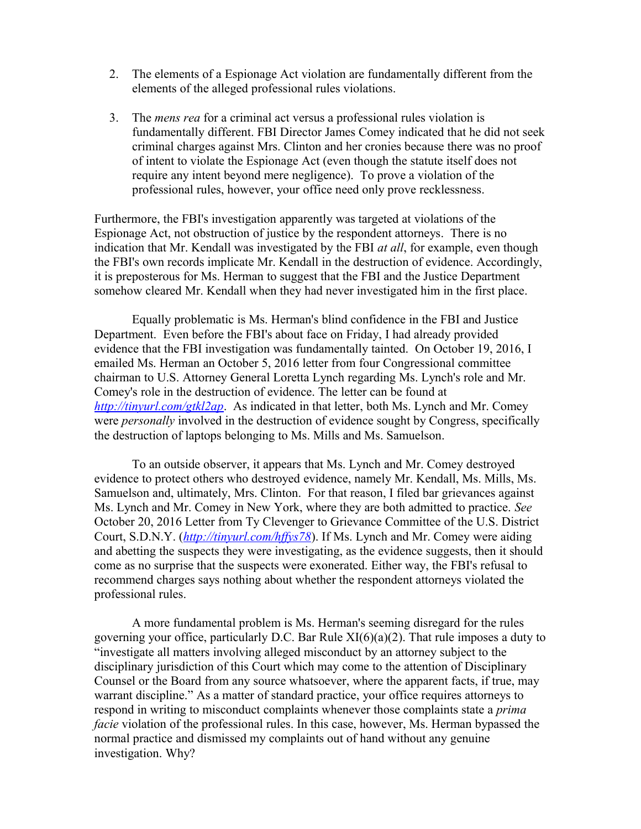- 2. The elements of a Espionage Act violation are fundamentally different from the elements of the alleged professional rules violations.
- 3. The *mens rea* for a criminal act versus a professional rules violation is fundamentally different. FBI Director James Comey indicated that he did not seek criminal charges against Mrs. Clinton and her cronies because there was no proof of intent to violate the Espionage Act (even though the statute itself does not require any intent beyond mere negligence). To prove a violation of the professional rules, however, your office need only prove recklessness.

Furthermore, the FBI's investigation apparently was targeted at violations of the Espionage Act, not obstruction of justice by the respondent attorneys. There is no indication that Mr. Kendall was investigated by the FBI *at all*, for example, even though the FBI's own records implicate Mr. Kendall in the destruction of evidence. Accordingly, it is preposterous for Ms. Herman to suggest that the FBI and the Justice Department somehow cleared Mr. Kendall when they had never investigated him in the first place.

Equally problematic is Ms. Herman's blind confidence in the FBI and Justice Department. Even before the FBI's about face on Friday, I had already provided evidence that the FBI investigation was fundamentally tainted. On October 19, 2016, I emailed Ms. Herman an October 5, 2016 letter from four Congressional committee chairman to U.S. Attorney General Loretta Lynch regarding Ms. Lynch's role and Mr. Comey's role in the destruction of evidence. The letter can be found at *<http://tinyurl.com/gtkl2ap>*. As indicated in that letter, both Ms. Lynch and Mr. Comey were *personally* involved in the destruction of evidence sought by Congress, specifically the destruction of laptops belonging to Ms. Mills and Ms. Samuelson.

To an outside observer, it appears that Ms. Lynch and Mr. Comey destroyed evidence to protect others who destroyed evidence, namely Mr. Kendall, Ms. Mills, Ms. Samuelson and, ultimately, Mrs. Clinton. For that reason, I filed bar grievances against Ms. Lynch and Mr. Comey in New York, where they are both admitted to practice. *See* October 20, 2016 Letter from Ty Clevenger to Grievance Committee of the U.S. District Court, S.D.N.Y. (*<http://tinyurl.com/hffys78>*). If Ms. Lynch and Mr. Comey were aiding and abetting the suspects they were investigating, as the evidence suggests, then it should come as no surprise that the suspects were exonerated. Either way, the FBI's refusal to recommend charges says nothing about whether the respondent attorneys violated the professional rules.

A more fundamental problem is Ms. Herman's seeming disregard for the rules governing your office, particularly D.C. Bar Rule XI(6)(a)(2). That rule imposes a duty to "investigate all matters involving alleged misconduct by an attorney subject to the disciplinary jurisdiction of this Court which may come to the attention of Disciplinary Counsel or the Board from any source whatsoever, where the apparent facts, if true, may warrant discipline." As a matter of standard practice, your office requires attorneys to respond in writing to misconduct complaints whenever those complaints state a *prima facie* violation of the professional rules. In this case, however, Ms. Herman bypassed the normal practice and dismissed my complaints out of hand without any genuine investigation. Why?